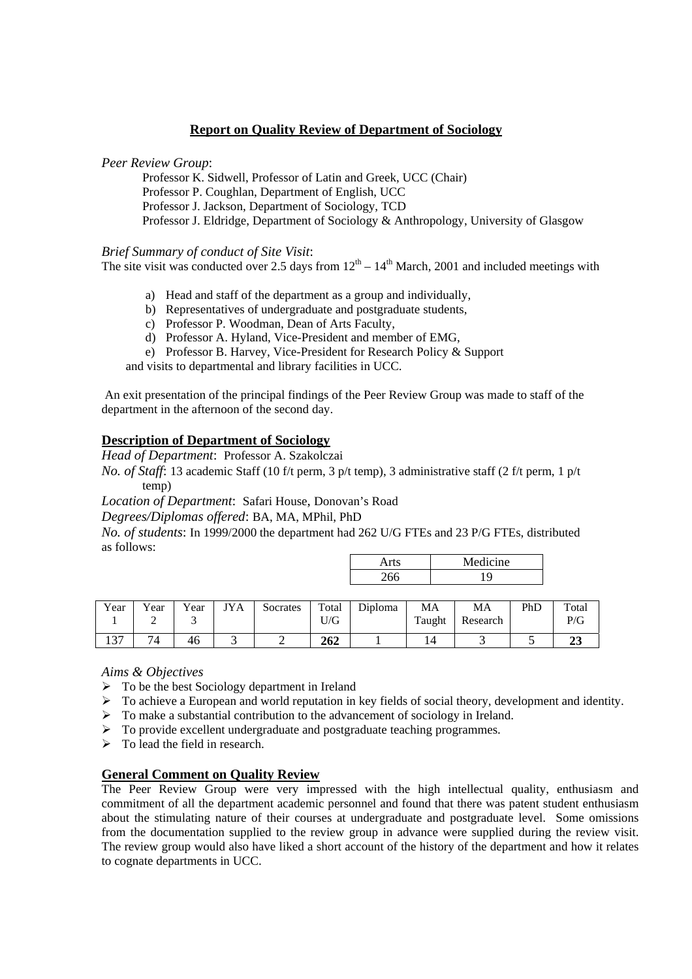## **Report on Quality Review of Department of Sociology**

#### *Peer Review Group*:

Professor K. Sidwell, Professor of Latin and Greek, UCC (Chair) Professor P. Coughlan, Department of English, UCC Professor J. Jackson, Department of Sociology, TCD Professor J. Eldridge, Department of Sociology & Anthropology, University of Glasgow

#### *Brief Summary of conduct of Site Visit*:

The site visit was conducted over 2.5 days from  $12<sup>th</sup> - 14<sup>th</sup>$  March, 2001 and included meetings with

- a) Head and staff of the department as a group and individually,
- b) Representatives of undergraduate and postgraduate students,
- c) Professor P. Woodman, Dean of Arts Faculty,
- d) Professor A. Hyland, Vice-President and member of EMG,
- e) Professor B. Harvey, Vice-President for Research Policy & Support

and visits to departmental and library facilities in UCC.

 An exit presentation of the principal findings of the Peer Review Group was made to staff of the department in the afternoon of the second day.

## **Description of Department of Sociology**

*Head of Department*: Professor A. Szakolczai

*No. of Staff*: 13 academic Staff (10 f/t perm, 3 p/t temp), 3 administrative staff (2 f/t perm, 1 p/t temp)

*Location of Department*: Safari House, Donovan's Road

*Degrees/Diplomas offered*: BA, MA, MPhil, PhD

*No. of students*: In 1999/2000 the department had 262 U/G FTEs and 23 P/G FTEs, distributed as follows:  $\Box$ Arts Medicine

|       |     | 1120410110 |        | .       |       |          |     |      |      |            |
|-------|-----|------------|--------|---------|-------|----------|-----|------|------|------------|
|       |     |            |        | 266     |       |          |     |      |      |            |
|       |     |            |        |         |       |          |     |      |      |            |
| Total | PhD | MA         | MA     | Diploma | Total | Socrates | JYA | Year | Year | Year       |
| P/G   |     | Research   | Taught |         | U/G   |          |     |      |      |            |
|       |     |            | 14     |         | 262   |          | ⌒   | 46   | 74   | $\sqrt{2}$ |

*Aims & Objectives* 

- $\triangleright$  To be the best Sociology department in Ireland
- $\triangleright$  To achieve a European and world reputation in key fields of social theory, development and identity.
- $\triangleright$  To make a substantial contribution to the advancement of sociology in Ireland.
- ¾ To provide excellent undergraduate and postgraduate teaching programmes.
- $\triangleright$  To lead the field in research.

## **General Comment on Quality Review**

The Peer Review Group were very impressed with the high intellectual quality, enthusiasm and commitment of all the department academic personnel and found that there was patent student enthusiasm about the stimulating nature of their courses at undergraduate and postgraduate level. Some omissions from the documentation supplied to the review group in advance were supplied during the review visit. The review group would also have liked a short account of the history of the department and how it relates to cognate departments in UCC.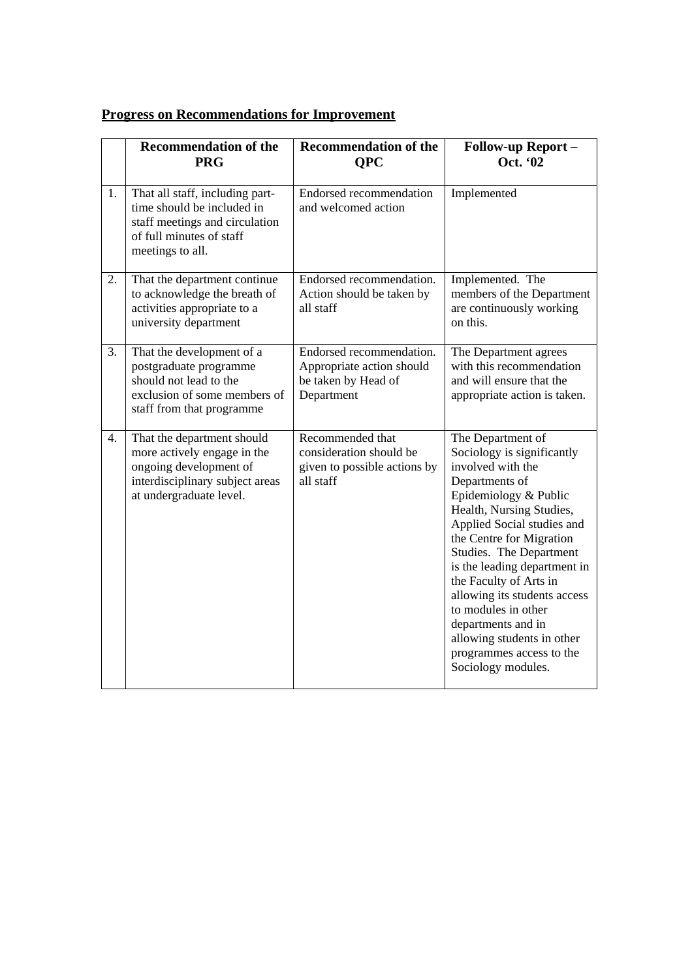# **Progress on Recommendations for Improvement**

|    | <b>Recommendation of the</b><br><b>PRG</b>                                                                                                        | <b>Recommendation of the</b><br><b>OPC</b>                                                 | Follow-up Report-<br>Oct. '02                                                                                                                                                                                                                                                                                                                                                                                                                           |
|----|---------------------------------------------------------------------------------------------------------------------------------------------------|--------------------------------------------------------------------------------------------|---------------------------------------------------------------------------------------------------------------------------------------------------------------------------------------------------------------------------------------------------------------------------------------------------------------------------------------------------------------------------------------------------------------------------------------------------------|
| 1. | That all staff, including part-<br>time should be included in<br>staff meetings and circulation<br>of full minutes of staff<br>meetings to all.   | Endorsed recommendation<br>and welcomed action                                             | Implemented                                                                                                                                                                                                                                                                                                                                                                                                                                             |
| 2. | That the department continue<br>to acknowledge the breath of<br>activities appropriate to a<br>university department                              | Endorsed recommendation.<br>Action should be taken by<br>all staff                         | Implemented. The<br>members of the Department<br>are continuously working<br>on this.                                                                                                                                                                                                                                                                                                                                                                   |
| 3. | That the development of a<br>postgraduate programme<br>should not lead to the<br>exclusion of some members of<br>staff from that programme        | Endorsed recommendation.<br>Appropriate action should<br>be taken by Head of<br>Department | The Department agrees<br>with this recommendation<br>and will ensure that the<br>appropriate action is taken.                                                                                                                                                                                                                                                                                                                                           |
| 4. | That the department should<br>more actively engage in the<br>ongoing development of<br>interdisciplinary subject areas<br>at undergraduate level. | Recommended that<br>consideration should be<br>given to possible actions by<br>all staff   | The Department of<br>Sociology is significantly<br>involved with the<br>Departments of<br>Epidemiology & Public<br>Health, Nursing Studies,<br>Applied Social studies and<br>the Centre for Migration<br>Studies. The Department<br>is the leading department in<br>the Faculty of Arts in<br>allowing its students access<br>to modules in other<br>departments and in<br>allowing students in other<br>programmes access to the<br>Sociology modules. |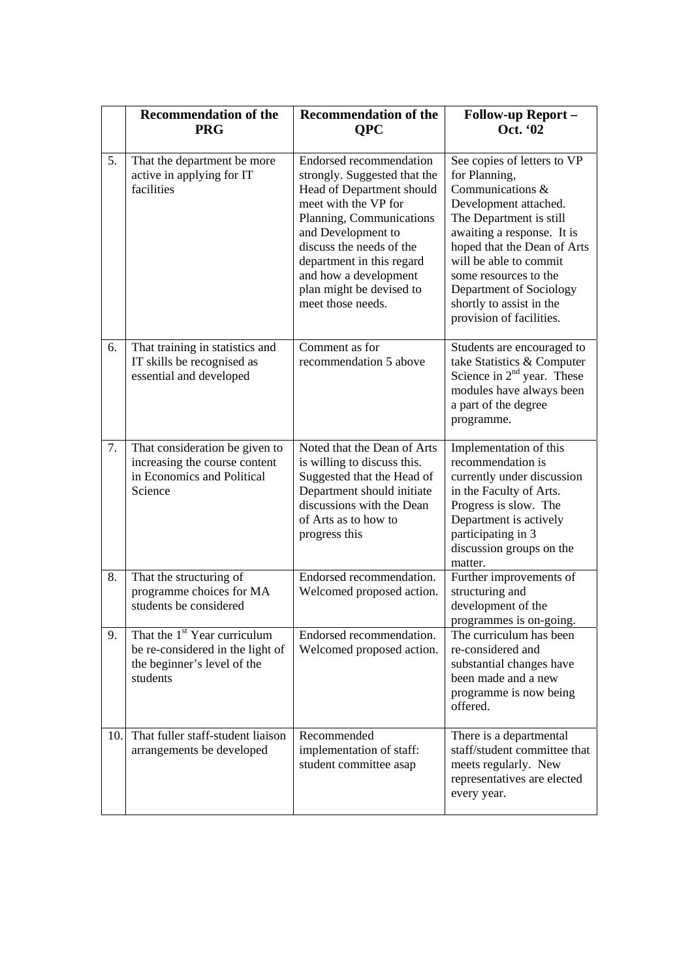|     | <b>Recommendation of the</b><br><b>PRG</b>                                                                              | <b>Recommendation of the</b><br><b>OPC</b>                                                                                                                                                                                                                                                        | <b>Follow-up Report -</b><br>Oct. '02                                                                                                                                                                                                                                                                                   |
|-----|-------------------------------------------------------------------------------------------------------------------------|---------------------------------------------------------------------------------------------------------------------------------------------------------------------------------------------------------------------------------------------------------------------------------------------------|-------------------------------------------------------------------------------------------------------------------------------------------------------------------------------------------------------------------------------------------------------------------------------------------------------------------------|
| 5.  | That the department be more<br>active in applying for IT<br>facilities                                                  | Endorsed recommendation<br>strongly. Suggested that the<br>Head of Department should<br>meet with the VP for<br>Planning, Communications<br>and Development to<br>discuss the needs of the<br>department in this regard<br>and how a development<br>plan might be devised to<br>meet those needs. | See copies of letters to VP<br>for Planning,<br>Communications &<br>Development attached.<br>The Department is still<br>awaiting a response. It is<br>hoped that the Dean of Arts<br>will be able to commit<br>some resources to the<br>Department of Sociology<br>shortly to assist in the<br>provision of facilities. |
| 6.  | That training in statistics and<br>IT skills be recognised as<br>essential and developed                                | Comment as for<br>recommendation 5 above                                                                                                                                                                                                                                                          | Students are encouraged to<br>take Statistics & Computer<br>Science in $2nd$ year. These<br>modules have always been<br>a part of the degree<br>programme.                                                                                                                                                              |
| 7.  | That consideration be given to<br>increasing the course content<br>in Economics and Political<br>Science                | Noted that the Dean of Arts<br>is willing to discuss this.<br>Suggested that the Head of<br>Department should initiate<br>discussions with the Dean<br>of Arts as to how to<br>progress this                                                                                                      | Implementation of this<br>recommendation is<br>currently under discussion<br>in the Faculty of Arts.<br>Progress is slow. The<br>Department is actively<br>participating in 3<br>discussion groups on the<br>matter.                                                                                                    |
| 8.  | That the structuring of<br>programme choices for MA<br>students be considered                                           | Endorsed recommendation.<br>Welcomed proposed action.                                                                                                                                                                                                                                             | Further improvements of<br>structuring and<br>development of the<br>programmes is on-going                                                                                                                                                                                                                              |
| 9.  | That the 1 <sup>st</sup> Year curriculum<br>be re-considered in the light of<br>the beginner's level of the<br>students | Endorsed recommendation.<br>Welcomed proposed action.                                                                                                                                                                                                                                             | The curriculum has been<br>re-considered and<br>substantial changes have<br>been made and a new<br>programme is now being<br>offered.                                                                                                                                                                                   |
| 10. | That fuller staff-student liaison<br>arrangements be developed                                                          | Recommended<br>implementation of staff:<br>student committee asap                                                                                                                                                                                                                                 | There is a departmental<br>staff/student committee that<br>meets regularly. New<br>representatives are elected<br>every year.                                                                                                                                                                                           |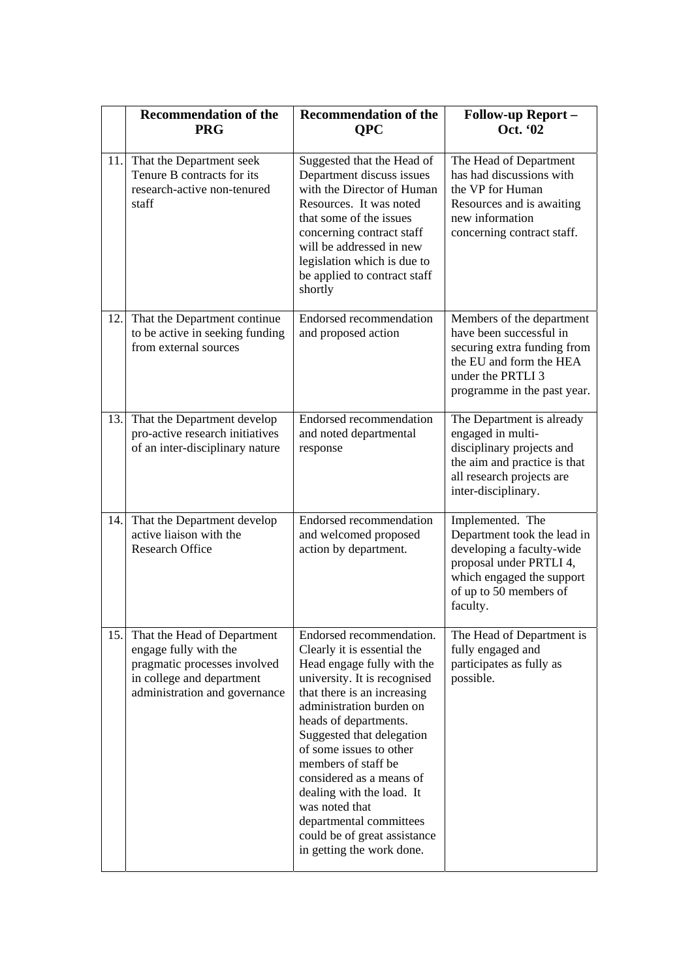|     | <b>Recommendation of the</b><br><b>PRG</b>                                                                                                         | <b>Recommendation of the</b><br><b>OPC</b>                                                                                                                                                                                                                                                                                                                                                                                                                  | <b>Follow-up Report -</b><br>Oct. '02                                                                                                                                      |
|-----|----------------------------------------------------------------------------------------------------------------------------------------------------|-------------------------------------------------------------------------------------------------------------------------------------------------------------------------------------------------------------------------------------------------------------------------------------------------------------------------------------------------------------------------------------------------------------------------------------------------------------|----------------------------------------------------------------------------------------------------------------------------------------------------------------------------|
| 11. | That the Department seek<br>Tenure B contracts for its<br>research-active non-tenured<br>staff                                                     | Suggested that the Head of<br>Department discuss issues<br>with the Director of Human<br>Resources. It was noted<br>that some of the issues<br>concerning contract staff<br>will be addressed in new<br>legislation which is due to<br>be applied to contract staff<br>shortly                                                                                                                                                                              | The Head of Department<br>has had discussions with<br>the VP for Human<br>Resources and is awaiting<br>new information<br>concerning contract staff.                       |
| 12. | That the Department continue<br>to be active in seeking funding<br>from external sources                                                           | Endorsed recommendation<br>and proposed action                                                                                                                                                                                                                                                                                                                                                                                                              | Members of the department<br>have been successful in<br>securing extra funding from<br>the EU and form the HEA<br>under the PRTLI 3<br>programme in the past year.         |
| 13. | That the Department develop<br>pro-active research initiatives<br>of an inter-disciplinary nature                                                  | Endorsed recommendation<br>and noted departmental<br>response                                                                                                                                                                                                                                                                                                                                                                                               | The Department is already<br>engaged in multi-<br>disciplinary projects and<br>the aim and practice is that<br>all research projects are<br>inter-disciplinary.            |
| 14. | That the Department develop<br>active liaison with the<br><b>Research Office</b>                                                                   | Endorsed recommendation<br>and welcomed proposed<br>action by department.                                                                                                                                                                                                                                                                                                                                                                                   | Implemented. The<br>Department took the lead in<br>developing a faculty-wide<br>proposal under PRTLI 4,<br>which engaged the support<br>of up to 50 members of<br>faculty. |
| 15. | That the Head of Department<br>engage fully with the<br>pragmatic processes involved<br>in college and department<br>administration and governance | Endorsed recommendation.<br>Clearly it is essential the<br>Head engage fully with the<br>university. It is recognised<br>that there is an increasing<br>administration burden on<br>heads of departments.<br>Suggested that delegation<br>of some issues to other<br>members of staff be<br>considered as a means of<br>dealing with the load. It<br>was noted that<br>departmental committees<br>could be of great assistance<br>in getting the work done. | The Head of Department is<br>fully engaged and<br>participates as fully as<br>possible.                                                                                    |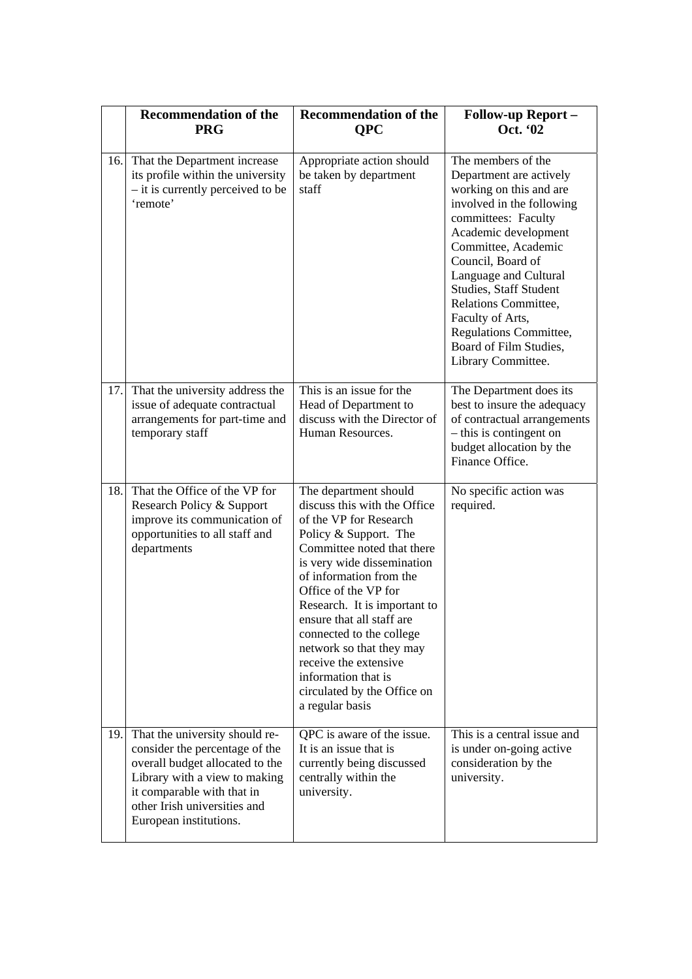|      | <b>Recommendation of the</b><br><b>PRG</b>                                                                                                                                                                                   | <b>Recommendation of the</b><br><b>QPC</b>                                                                                                                                                                                                                                                                                                                                                                                                     | <b>Follow-up Report -</b><br>Oct. '02                                                                                                                                                                                                                                                                                                                                     |
|------|------------------------------------------------------------------------------------------------------------------------------------------------------------------------------------------------------------------------------|------------------------------------------------------------------------------------------------------------------------------------------------------------------------------------------------------------------------------------------------------------------------------------------------------------------------------------------------------------------------------------------------------------------------------------------------|---------------------------------------------------------------------------------------------------------------------------------------------------------------------------------------------------------------------------------------------------------------------------------------------------------------------------------------------------------------------------|
| 16.  | That the Department increase<br>its profile within the university<br>- it is currently perceived to be<br>'remote'                                                                                                           | Appropriate action should<br>be taken by department<br>staff                                                                                                                                                                                                                                                                                                                                                                                   | The members of the<br>Department are actively<br>working on this and are<br>involved in the following<br>committees: Faculty<br>Academic development<br>Committee, Academic<br>Council, Board of<br>Language and Cultural<br>Studies, Staff Student<br>Relations Committee,<br>Faculty of Arts,<br>Regulations Committee,<br>Board of Film Studies,<br>Library Committee. |
| 17.1 | That the university address the<br>issue of adequate contractual<br>arrangements for part-time and<br>temporary staff                                                                                                        | This is an issue for the<br>Head of Department to<br>discuss with the Director of<br>Human Resources.                                                                                                                                                                                                                                                                                                                                          | The Department does its<br>best to insure the adequacy<br>of contractual arrangements<br>- this is contingent on<br>budget allocation by the<br>Finance Office.                                                                                                                                                                                                           |
| 18.  | That the Office of the VP for<br>Research Policy & Support<br>improve its communication of<br>opportunities to all staff and<br>departments                                                                                  | The department should<br>discuss this with the Office<br>of the VP for Research<br>Policy & Support. The<br>Committee noted that there<br>is very wide dissemination<br>of information from the<br>Office of the VP for<br>Research. It is important to<br>ensure that all staff are<br>connected to the college<br>network so that they may<br>receive the extensive<br>information that is<br>circulated by the Office on<br>a regular basis | No specific action was<br>required.                                                                                                                                                                                                                                                                                                                                       |
| 19.  | That the university should re-<br>consider the percentage of the<br>overall budget allocated to the<br>Library with a view to making<br>it comparable with that in<br>other Irish universities and<br>European institutions. | QPC is aware of the issue.<br>It is an issue that is<br>currently being discussed<br>centrally within the<br>university.                                                                                                                                                                                                                                                                                                                       | This is a central issue and<br>is under on-going active<br>consideration by the<br>university.                                                                                                                                                                                                                                                                            |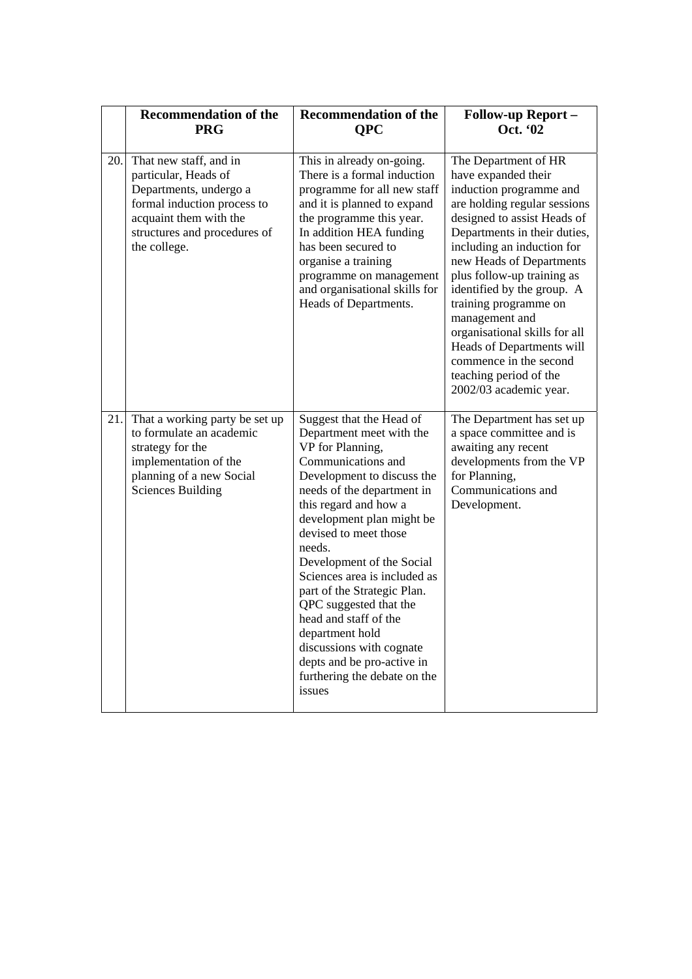|      | <b>Recommendation of the</b><br><b>PRG</b>                                                                                                                                        | <b>Recommendation of the</b><br><b>OPC</b>                                                                                                                                                                                                                                                                                                                                                                                                                                                                                | <b>Follow-up Report -</b><br>Oct. '02                                                                                                                                                                                                                                                                                                                                                                                                                                              |
|------|-----------------------------------------------------------------------------------------------------------------------------------------------------------------------------------|---------------------------------------------------------------------------------------------------------------------------------------------------------------------------------------------------------------------------------------------------------------------------------------------------------------------------------------------------------------------------------------------------------------------------------------------------------------------------------------------------------------------------|------------------------------------------------------------------------------------------------------------------------------------------------------------------------------------------------------------------------------------------------------------------------------------------------------------------------------------------------------------------------------------------------------------------------------------------------------------------------------------|
| 20.1 | That new staff, and in<br>particular, Heads of<br>Departments, undergo a<br>formal induction process to<br>acquaint them with the<br>structures and procedures of<br>the college. | This in already on-going.<br>There is a formal induction<br>programme for all new staff<br>and it is planned to expand<br>the programme this year.<br>In addition HEA funding<br>has been secured to<br>organise a training<br>programme on management<br>and organisational skills for<br>Heads of Departments.                                                                                                                                                                                                          | The Department of HR<br>have expanded their<br>induction programme and<br>are holding regular sessions<br>designed to assist Heads of<br>Departments in their duties,<br>including an induction for<br>new Heads of Departments<br>plus follow-up training as<br>identified by the group. A<br>training programme on<br>management and<br>organisational skills for all<br>Heads of Departments will<br>commence in the second<br>teaching period of the<br>2002/03 academic year. |
| 21.  | That a working party be set up<br>to formulate an academic<br>strategy for the<br>implementation of the<br>planning of a new Social<br><b>Sciences Building</b>                   | Suggest that the Head of<br>Department meet with the<br>VP for Planning,<br>Communications and<br>Development to discuss the<br>needs of the department in<br>this regard and how a<br>development plan might be<br>devised to meet those<br>needs.<br>Development of the Social<br>Sciences area is included as<br>part of the Strategic Plan.<br>QPC suggested that the<br>head and staff of the<br>department hold<br>discussions with cognate<br>depts and be pro-active in<br>furthering the debate on the<br>issues | The Department has set up<br>a space committee and is<br>awaiting any recent<br>developments from the VP<br>for Planning,<br>Communications and<br>Development.                                                                                                                                                                                                                                                                                                                    |